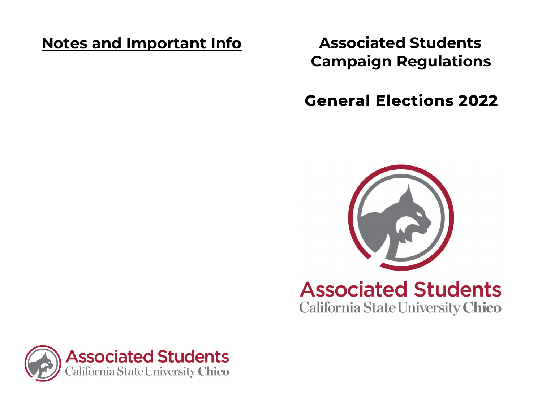# **Notes and Important Info Associated Students**

**Campaign Regulations** 

# **General Elections 2022**



# Associated Students California State University **Chico**

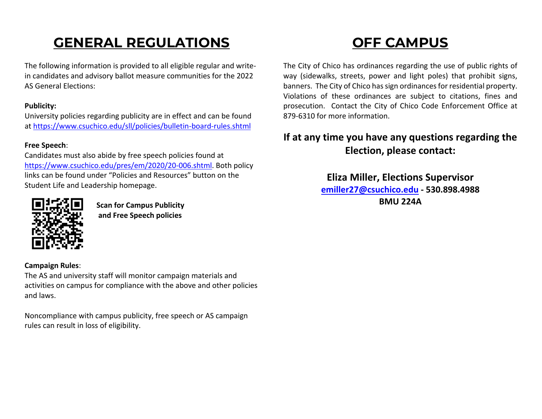# **GENERAL REGULATIONS**

The following information is provided to all eligible regular and write‐ in candidates and advisory ballot measure communities for the 2022 AS General Elections:

#### **Publicity:**

University policies regarding publicity are in effect and can be found at [https://www.csuchico.edu/sll/policies/bulletin](https://www.csuchico.edu/sll/policies/bulletin-board-rules.shtml)‐board‐rules.shtml

#### **Free Speech**:

Candidates must also abide by free speech policies found at [https://www.csuchico.edu/pres/em/2020/20](https://www.csuchico.edu/pres/em/2020/20-006.shtml)‐006.shtml. Both policy links can be found under "Policies and Resources" button on the Student Life and Leadership homepage.



**Scan for Campus Publicity and Free Speech policies**

#### **Campaign Rules**:

The AS and university staff will monitor campaign materials and activities on campus for compliance with the above and other policies and laws.

Noncompliance with campus publicity, free speech or AS campaign rules can result in loss of eligibility.

# **OFF CAMPUS**

The City of Chico has ordinances regarding the use of public rights of way (sidewalks, streets, power and light poles) that prohibit signs, banners. The City of Chico has sign ordinances for residential property. Violations of these ordinances are subject to citations, fines and prosecution. Contact the City of Chico Code Enforcement Office at 879‐6310 for more information.

### **If at any time you have any questions regarding the Election, please contact:**

**Eliza Miller, Elections Supervisor [emiller27@csuchico.edu](mailto:emiller27@csuchico.edu) ‐ 530.898.4988 BMU 224A**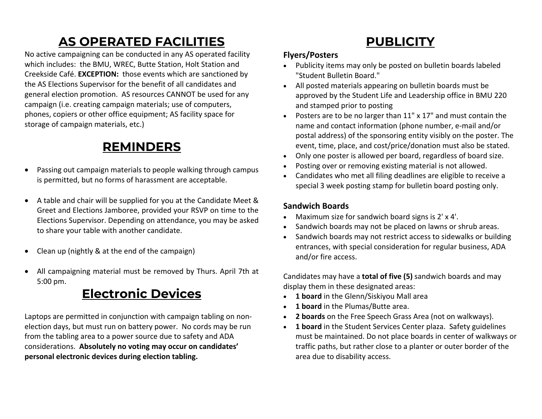## **AS OPERATED FACILITIES**

No active campaigning can be conducted in any AS operated facility which includes: the BMU, WREC, Butte Station, Holt Station and Creekside Café. **EXCEPTION:** those events which are sanctioned by the AS Elections Supervisor for the benefit of all candidates and general election promotion. AS resources CANNOT be used for any campaign (i.e. creating campaign materials; use of computers, phones, copiers or other office equipment; AS facility space for storage of campaign materials, etc.)

## **REMINDERS**

- $\bullet$  Passing out campaign materials to people walking through campus is permitted, but no forms of harassment are acceptable.
- A table and chair will be supplied for you at the Candidate Meet & Greet and Elections Jamboree, provided your RSVP on time to the Elections Supervisor. Depending on attendance, you may be asked to share your table with another candidate.
- $\bullet$ Clean up (nightly & at the end of the campaign)
- $\bullet$  All campaigning material must be removed by Thurs. April 7th at 5:00 pm.

## **Electronic Devices**

Laptops are permitted in conjunction with campaign tabling on non‐ election days, but must run on battery power. No cords may be run from the tabling area to <sup>a</sup> power source due to safety and ADA considerations. **Absolutely no voting may occur on candidates' personal electronic devices during election tabling.**

## **PUBLICITY**

#### **Flyers/Posters**

- Publicity items may only be posted on bulletin boards labeled "Student Bulletin Board."
- All posted materials appearing on bulletin boards must be approved by the Student Life and Leadership office in BMU 220 and stamped prior to posting
- c Posters are to be no larger than 11" <sup>x</sup> 17" and must contain the name and contact information (phone number, <sup>e</sup>‐mail and/or postal address) of the sponsoring entity visibly on the poster. The event, time, place, and cost/price/donation must also be stated.
- $\bullet$ Only one poster is allowed per board, regardless of board size.
- c Posting over or removing existing material is not allowed.
- $\bullet$  Candidates who met all filing deadlines are eligible to receive <sup>a</sup> special 3 week posting stamp for bulletin board posting only.

#### **Sandwich Boards**

- Maximum size for sandwich board signs is 2' <sup>x</sup> 4'.
- $\bullet$ • Sandwich boards may not be placed on lawns or shrub areas.
- $\bullet$  Sandwich boards may not restrict access to sidewalks or building entrances, with special consideration for regular business, ADA and/or fire access.

Candidates may have <sup>a</sup> **total of five (5)** sandwich boards and may display them in these designated areas:

- **1 board** in the Glenn/Siskiyou Mall area
- **1board** in the Plumas/Butte area.
- **2 boards** on the Free Speech Grass Area (not on walkways).
- **1 board** in the Student Services Center plaza. Safety guidelines must be maintained. Do not place boards in center of walkways or traffic paths, but rather close to <sup>a</sup> planter or outer border of the area due to disability access.